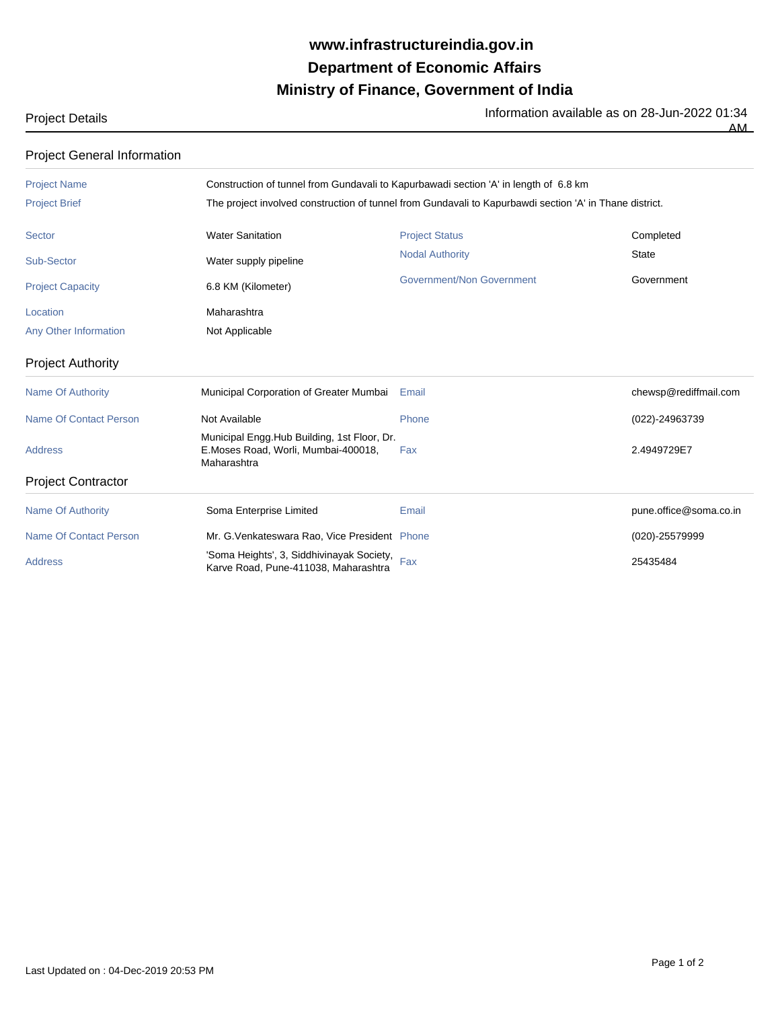## **Ministry of Finance, Government of India Department of Economic Affairs www.infrastructureindia.gov.in**

Project Details **Information available as on 28-Jun-2022 01:34** 

AM

| <b>Project General Information</b> |                                                                                                                                                                                                 |                           |                        |  |  |
|------------------------------------|-------------------------------------------------------------------------------------------------------------------------------------------------------------------------------------------------|---------------------------|------------------------|--|--|
| <b>Project Name</b>                | Construction of tunnel from Gundavali to Kapurbawadi section 'A' in length of 6.8 km<br>The project involved construction of tunnel from Gundavali to Kapurbawdi section 'A' in Thane district. |                           |                        |  |  |
| <b>Project Brief</b>               |                                                                                                                                                                                                 |                           |                        |  |  |
| <b>Sector</b>                      | <b>Water Sanitation</b>                                                                                                                                                                         | <b>Project Status</b>     | Completed              |  |  |
| <b>Sub-Sector</b>                  | Water supply pipeline                                                                                                                                                                           | <b>Nodal Authority</b>    | <b>State</b>           |  |  |
| <b>Project Capacity</b>            | 6.8 KM (Kilometer)                                                                                                                                                                              | Government/Non Government | Government             |  |  |
| Location                           | Maharashtra                                                                                                                                                                                     |                           |                        |  |  |
| Any Other Information              | Not Applicable                                                                                                                                                                                  |                           |                        |  |  |
| <b>Project Authority</b>           |                                                                                                                                                                                                 |                           |                        |  |  |
| <b>Name Of Authority</b>           | Municipal Corporation of Greater Mumbai                                                                                                                                                         | Email                     | chewsp@rediffmail.com  |  |  |
| <b>Name Of Contact Person</b>      | Not Available                                                                                                                                                                                   | Phone                     | (022)-24963739         |  |  |
| <b>Address</b>                     | Municipal Engg.Hub Building, 1st Floor, Dr.<br>E.Moses Road, Worli, Mumbai-400018,<br>Maharashtra                                                                                               | Fax                       | 2.4949729E7            |  |  |
| <b>Project Contractor</b>          |                                                                                                                                                                                                 |                           |                        |  |  |
| <b>Name Of Authority</b>           | Soma Enterprise Limited                                                                                                                                                                         | Email                     | pune.office@soma.co.in |  |  |
| <b>Name Of Contact Person</b>      | Mr. G. Venkateswara Rao, Vice President Phone                                                                                                                                                   |                           | (020)-25579999         |  |  |
| <b>Address</b>                     | 'Soma Heights', 3, Siddhivinayak Society, Fax<br>Karve Road, Pune-411038, Maharashtra                                                                                                           |                           | 25435484               |  |  |